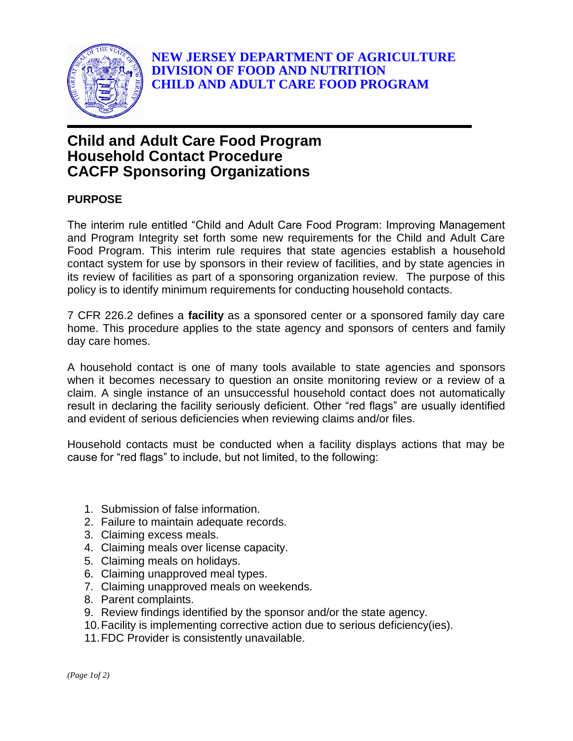

## **Child and Adult Care Food Program Household Contact Procedure CACFP Sponsoring Organizations**

## **PURPOSE**

The interim rule entitled "Child and Adult Care Food Program: Improving Management and Program Integrity set forth some new requirements for the Child and Adult Care Food Program. This interim rule requires that state agencies establish a household contact system for use by sponsors in their review of facilities, and by state agencies in its review of facilities as part of a sponsoring organization review. The purpose of this policy is to identify minimum requirements for conducting household contacts.

7 CFR 226.2 defines a **facility** as a sponsored center or a sponsored family day care home. This procedure applies to the state agency and sponsors of centers and family day care homes.

A household contact is one of many tools available to state agencies and sponsors when it becomes necessary to question an onsite monitoring review or a review of a claim. A single instance of an unsuccessful household contact does not automatically result in declaring the facility seriously deficient. Other "red flags" are usually identified and evident of serious deficiencies when reviewing claims and/or files.

Household contacts must be conducted when a facility displays actions that may be cause for "red flags" to include, but not limited, to the following:

- 1. Submission of false information.
- 2. Failure to maintain adequate records.
- 3. Claiming excess meals.
- 4. Claiming meals over license capacity.
- 5. Claiming meals on holidays.
- 6. Claiming unapproved meal types.
- 7. Claiming unapproved meals on weekends.
- 8. Parent complaints.
- 9. Review findings identified by the sponsor and/or the state agency.
- 10.Facility is implementing corrective action due to serious deficiency(ies).
- 11.FDC Provider is consistently unavailable.